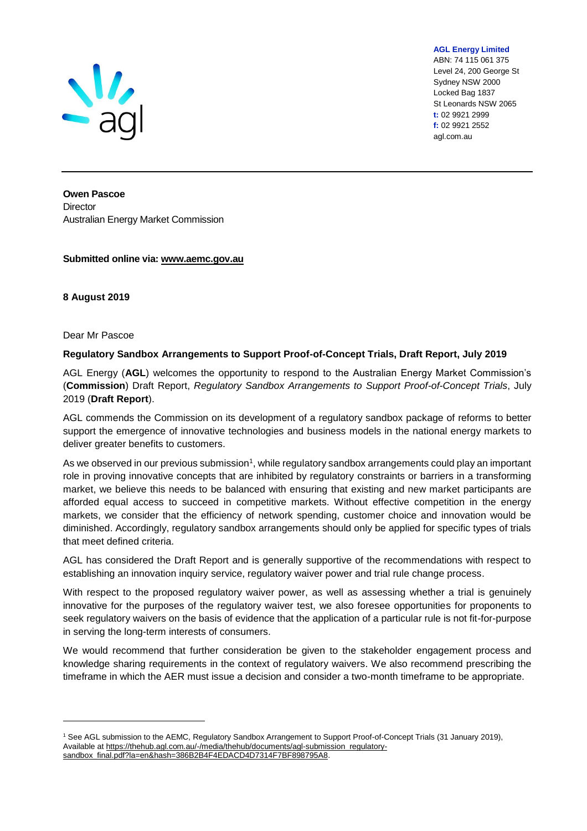

**AGL Energy Limited** ABN: 74 115 061 375 Level 24, 200 George St Sydney NSW 2000 Locked Bag 1837 St Leonards NSW 2065 **t:** 02 9921 2999 **f:** 02 9921 2552

agl.com.au

**Owen Pascoe Director** Australian Energy Market Commission

**Submitted online via: www.aemc.gov.au**

**8 August 2019**

#### Dear Mr Pascoe

l

### **Regulatory Sandbox Arrangements to Support Proof-of-Concept Trials, Draft Report, July 2019**

AGL Energy (**AGL**) welcomes the opportunity to respond to the Australian Energy Market Commission's (**Commission**) Draft Report, *Regulatory Sandbox Arrangements to Support Proof-of-Concept Trials*, July 2019 (**Draft Report**).

AGL commends the Commission on its development of a regulatory sandbox package of reforms to better support the emergence of innovative technologies and business models in the national energy markets to deliver greater benefits to customers.

As we observed in our previous submission<sup>1</sup>, while regulatory sandbox arrangements could play an important role in proving innovative concepts that are inhibited by regulatory constraints or barriers in a transforming market, we believe this needs to be balanced with ensuring that existing and new market participants are afforded equal access to succeed in competitive markets. Without effective competition in the energy markets, we consider that the efficiency of network spending, customer choice and innovation would be diminished. Accordingly, regulatory sandbox arrangements should only be applied for specific types of trials that meet defined criteria.

AGL has considered the Draft Report and is generally supportive of the recommendations with respect to establishing an innovation inquiry service, regulatory waiver power and trial rule change process.

With respect to the proposed regulatory waiver power, as well as assessing whether a trial is genuinely innovative for the purposes of the regulatory waiver test, we also foresee opportunities for proponents to seek regulatory waivers on the basis of evidence that the application of a particular rule is not fit-for-purpose in serving the long-term interests of consumers.

We would recommend that further consideration be given to the stakeholder engagement process and knowledge sharing requirements in the context of regulatory waivers. We also recommend prescribing the timeframe in which the AER must issue a decision and consider a two-month timeframe to be appropriate.

<sup>1</sup> See AGL submission to the AEMC, Regulatory Sandbox Arrangement to Support Proof-of-Concept Trials (31 January 2019), Available a[t https://thehub.agl.com.au/-/media/thehub/documents/agl-submission\\_regulatory](https://thehub.agl.com.au/-/media/thehub/documents/agl-submission_regulatory-sandbox_final.pdf?la=en&hash=386B2B4F4EDACD4D7314F7BF898795A8)sandbox\_final.pdf?la=en&hash=386B2B4F4EDACD4D7314F7BF898795A8.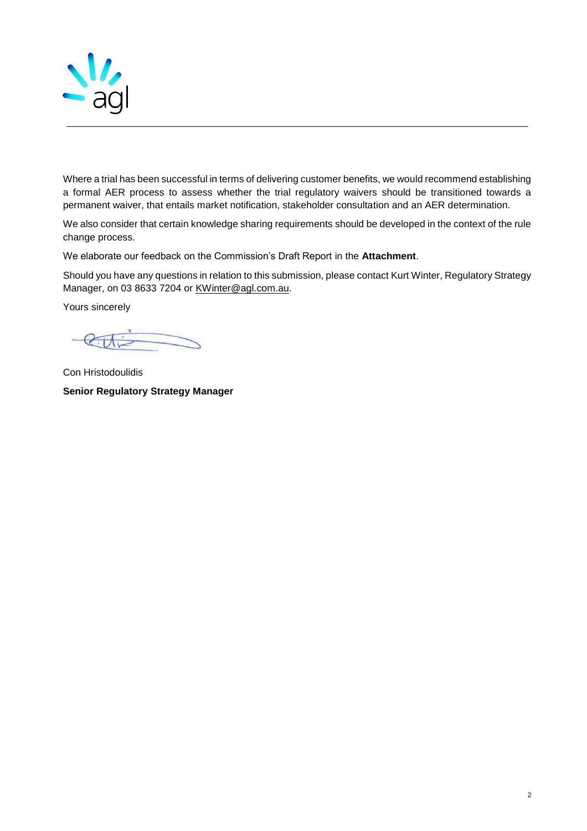

Where a trial has been successful in terms of delivering customer benefits, we would recommend establishing a formal AER process to assess whether the trial regulatory waivers should be transitioned towards a permanent waiver, that entails market notification, stakeholder consultation and an AER determination.

We also consider that certain knowledge sharing requirements should be developed in the context of the rule change process.

We elaborate our feedback on the Commission's Draft Report in the **Attachment**.

Should you have any questions in relation to this submission, please contact Kurt Winter, Regulatory Strategy Manager, on 03 8633 7204 or [KWinter@agl.com.au.](mailto:KWinter@agl.com.au)

Yours sincerely

Con Hristodoulidis **Senior Regulatory Strategy Manager**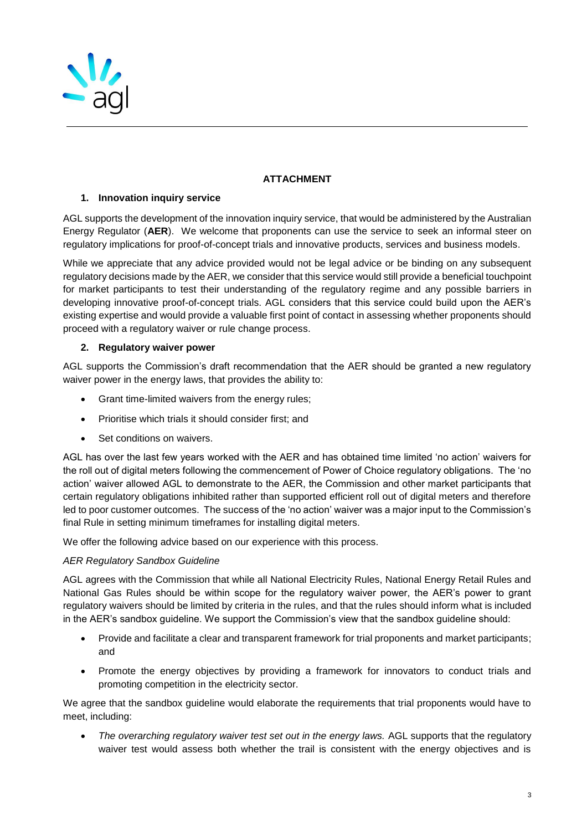

# **ATTACHMENT**

## **1. Innovation inquiry service**

AGL supports the development of the innovation inquiry service, that would be administered by the Australian Energy Regulator (**AER**). We welcome that proponents can use the service to seek an informal steer on regulatory implications for proof-of-concept trials and innovative products, services and business models.

While we appreciate that any advice provided would not be legal advice or be binding on any subsequent regulatory decisions made by the AER, we consider that this service would still provide a beneficial touchpoint for market participants to test their understanding of the regulatory regime and any possible barriers in developing innovative proof-of-concept trials. AGL considers that this service could build upon the AER's existing expertise and would provide a valuable first point of contact in assessing whether proponents should proceed with a regulatory waiver or rule change process.

### **2. Regulatory waiver power**

AGL supports the Commission's draft recommendation that the AER should be granted a new regulatory waiver power in the energy laws, that provides the ability to:

- Grant time-limited waivers from the energy rules;
- Prioritise which trials it should consider first; and
- Set conditions on waivers.

AGL has over the last few years worked with the AER and has obtained time limited 'no action' waivers for the roll out of digital meters following the commencement of Power of Choice regulatory obligations. The 'no action' waiver allowed AGL to demonstrate to the AER, the Commission and other market participants that certain regulatory obligations inhibited rather than supported efficient roll out of digital meters and therefore led to poor customer outcomes. The success of the 'no action' waiver was a major input to the Commission's final Rule in setting minimum timeframes for installing digital meters.

We offer the following advice based on our experience with this process.

### *AER Regulatory Sandbox Guideline*

AGL agrees with the Commission that while all National Electricity Rules, National Energy Retail Rules and National Gas Rules should be within scope for the regulatory waiver power, the AER's power to grant regulatory waivers should be limited by criteria in the rules, and that the rules should inform what is included in the AER's sandbox guideline. We support the Commission's view that the sandbox guideline should:

- Provide and facilitate a clear and transparent framework for trial proponents and market participants; and
- Promote the energy objectives by providing a framework for innovators to conduct trials and promoting competition in the electricity sector.

We agree that the sandbox guideline would elaborate the requirements that trial proponents would have to meet, including:

• The overarching regulatory waiver test set out in the energy laws. AGL supports that the regulatory waiver test would assess both whether the trail is consistent with the energy objectives and is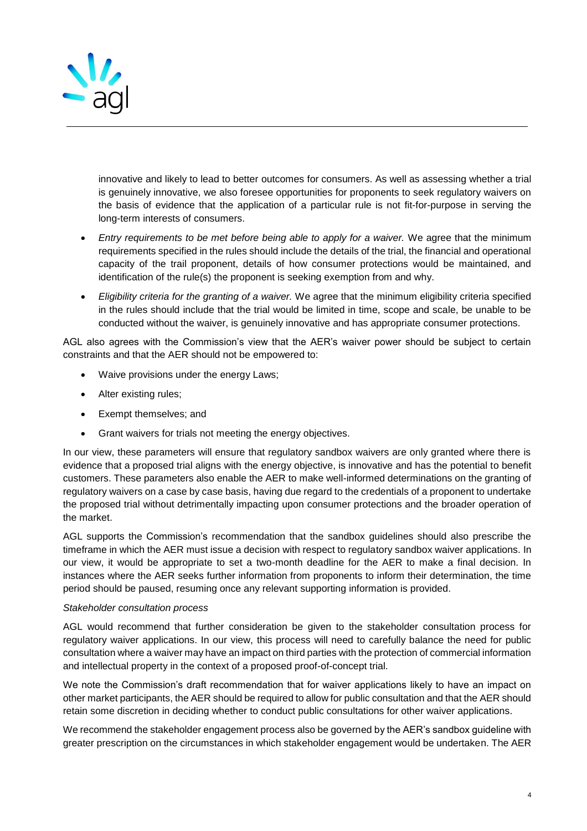

innovative and likely to lead to better outcomes for consumers. As well as assessing whether a trial is genuinely innovative, we also foresee opportunities for proponents to seek regulatory waivers on the basis of evidence that the application of a particular rule is not fit-for-purpose in serving the long-term interests of consumers.

- *Entry requirements to be met before being able to apply for a waiver.* We agree that the minimum requirements specified in the rules should include the details of the trial, the financial and operational capacity of the trail proponent, details of how consumer protections would be maintained, and identification of the rule(s) the proponent is seeking exemption from and why.
- *Eligibility criteria for the granting of a waiver.* We agree that the minimum eligibility criteria specified in the rules should include that the trial would be limited in time, scope and scale, be unable to be conducted without the waiver, is genuinely innovative and has appropriate consumer protections.

AGL also agrees with the Commission's view that the AER's waiver power should be subject to certain constraints and that the AER should not be empowered to:

- Waive provisions under the energy Laws;
- Alter existing rules;
- Exempt themselves; and
- Grant waivers for trials not meeting the energy objectives.

In our view, these parameters will ensure that regulatory sandbox waivers are only granted where there is evidence that a proposed trial aligns with the energy objective, is innovative and has the potential to benefit customers. These parameters also enable the AER to make well-informed determinations on the granting of regulatory waivers on a case by case basis, having due regard to the credentials of a proponent to undertake the proposed trial without detrimentally impacting upon consumer protections and the broader operation of the market.

AGL supports the Commission's recommendation that the sandbox guidelines should also prescribe the timeframe in which the AER must issue a decision with respect to regulatory sandbox waiver applications. In our view, it would be appropriate to set a two-month deadline for the AER to make a final decision. In instances where the AER seeks further information from proponents to inform their determination, the time period should be paused, resuming once any relevant supporting information is provided.

### *Stakeholder consultation process*

AGL would recommend that further consideration be given to the stakeholder consultation process for regulatory waiver applications. In our view, this process will need to carefully balance the need for public consultation where a waiver may have an impact on third parties with the protection of commercial information and intellectual property in the context of a proposed proof-of-concept trial.

We note the Commission's draft recommendation that for waiver applications likely to have an impact on other market participants, the AER should be required to allow for public consultation and that the AER should retain some discretion in deciding whether to conduct public consultations for other waiver applications.

We recommend the stakeholder engagement process also be governed by the AER's sandbox guideline with greater prescription on the circumstances in which stakeholder engagement would be undertaken. The AER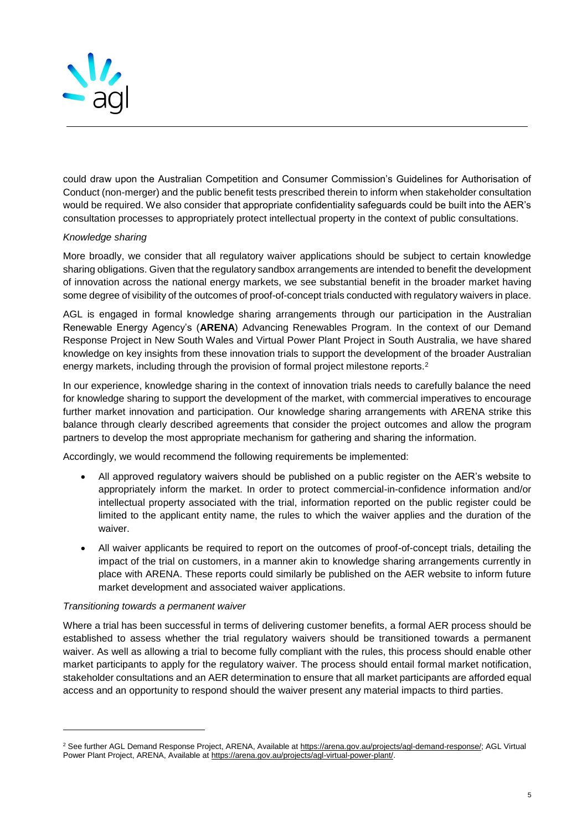

could draw upon the Australian Competition and Consumer Commission's Guidelines for Authorisation of Conduct (non-merger) and the public benefit tests prescribed therein to inform when stakeholder consultation would be required. We also consider that appropriate confidentiality safeguards could be built into the AER's consultation processes to appropriately protect intellectual property in the context of public consultations.

### *Knowledge sharing*

More broadly, we consider that all regulatory waiver applications should be subject to certain knowledge sharing obligations. Given that the regulatory sandbox arrangements are intended to benefit the development of innovation across the national energy markets, we see substantial benefit in the broader market having some degree of visibility of the outcomes of proof-of-concept trials conducted with regulatory waivers in place.

AGL is engaged in formal knowledge sharing arrangements through our participation in the Australian Renewable Energy Agency's (**ARENA**) Advancing Renewables Program. In the context of our Demand Response Project in New South Wales and Virtual Power Plant Project in South Australia, we have shared knowledge on key insights from these innovation trials to support the development of the broader Australian energy markets, including through the provision of formal project milestone reports.<sup>2</sup>

In our experience, knowledge sharing in the context of innovation trials needs to carefully balance the need for knowledge sharing to support the development of the market, with commercial imperatives to encourage further market innovation and participation. Our knowledge sharing arrangements with ARENA strike this balance through clearly described agreements that consider the project outcomes and allow the program partners to develop the most appropriate mechanism for gathering and sharing the information.

Accordingly, we would recommend the following requirements be implemented:

- All approved regulatory waivers should be published on a public register on the AER's website to appropriately inform the market. In order to protect commercial-in-confidence information and/or intellectual property associated with the trial, information reported on the public register could be limited to the applicant entity name, the rules to which the waiver applies and the duration of the waiver.
- All waiver applicants be required to report on the outcomes of proof-of-concept trials, detailing the impact of the trial on customers, in a manner akin to knowledge sharing arrangements currently in place with ARENA. These reports could similarly be published on the AER website to inform future market development and associated waiver applications.

### *Transitioning towards a permanent waiver*

l

Where a trial has been successful in terms of delivering customer benefits, a formal AER process should be established to assess whether the trial regulatory waivers should be transitioned towards a permanent waiver. As well as allowing a trial to become fully compliant with the rules, this process should enable other market participants to apply for the regulatory waiver. The process should entail formal market notification, stakeholder consultations and an AER determination to ensure that all market participants are afforded equal access and an opportunity to respond should the waiver present any material impacts to third parties.

<sup>&</sup>lt;sup>2</sup> See further AGL Demand Response Project, ARENA, Available a[t https://arena.gov.au/projects/agl-demand-response/;](https://arena.gov.au/projects/agl-demand-response/) AGL Virtual Power Plant Project, ARENA, Available at [https://arena.gov.au/projects/agl-virtual-power-plant/.](https://arena.gov.au/projects/agl-virtual-power-plant/)